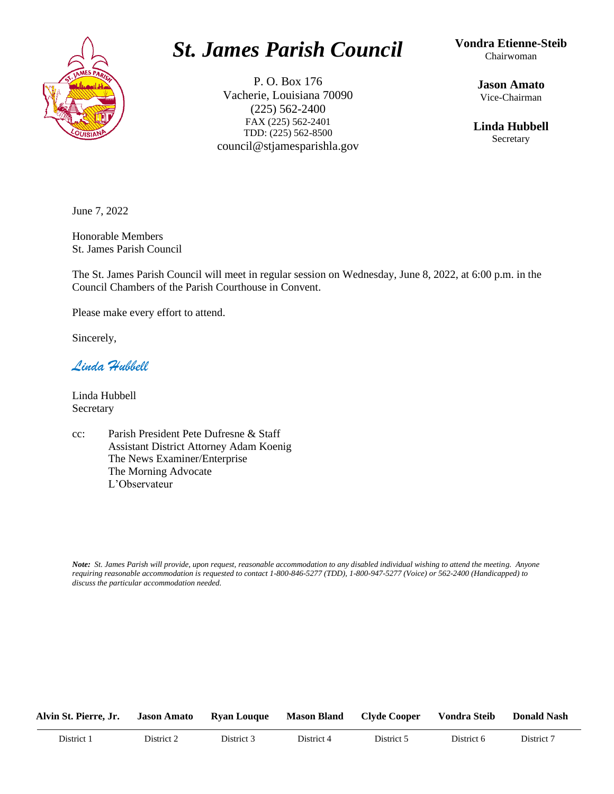

### *St. James Parish Council*

P. O. Box 176 Vacherie, Louisiana 70090 (225) 562-2400 FAX (225) 562-2401 TDD: (225) 562-8500 council@stjamesparishla.gov **Vondra Etienne-Steib** Chairwoman

> **Jason Amato** Vice-Chairman

**Linda Hubbell** Secretary

June 7, 2022

Honorable Members St. James Parish Council

The St. James Parish Council will meet in regular session on Wednesday, June 8, 2022, at 6:00 p.m. in the Council Chambers of the Parish Courthouse in Convent.

Please make every effort to attend.

Sincerely,

*Linda Hubbell*

Linda Hubbell Secretary

cc: Parish President Pete Dufresne & Staff Assistant District Attorney Adam Koenig The News Examiner/Enterprise The Morning Advocate L'Observateur

*Note: St. James Parish will provide, upon request, reasonable accommodation to any disabled individual wishing to attend the meeting. Anyone requiring reasonable accommodation is requested to contact 1-800-846-5277 (TDD), 1-800-947-5277 (Voice) or 562-2400 (Handicapped) to discuss the particular accommodation needed.*

| Alvin St. Pierre, Jr. | <b>Jason Amato</b> | <b>Ryan Louque</b> | <b>Mason Bland</b> | Clyde Cooper | <b>Vondra Steib</b> | <b>Donald Nash</b> |
|-----------------------|--------------------|--------------------|--------------------|--------------|---------------------|--------------------|
| District 1            | District 2         | District 3         | District 4         | District 5   | District 6          | District 7         |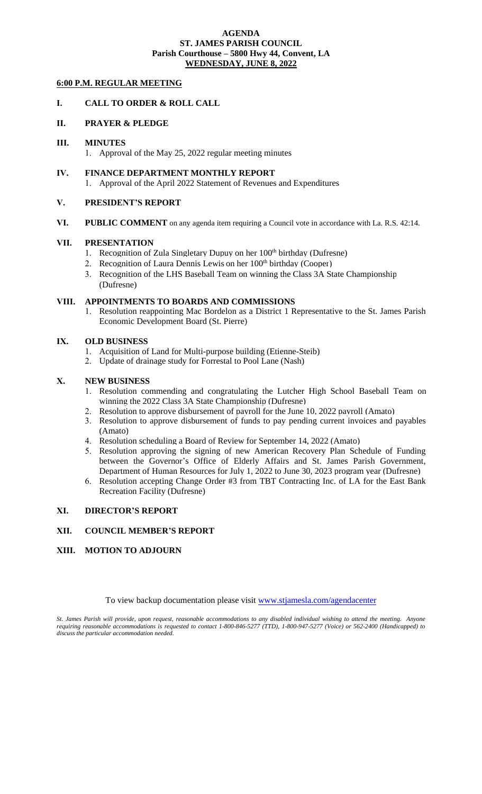#### **AGENDA ST. JAMES PARISH COUNCIL Parish Courthouse – 5800 Hwy 44, Convent, LA WEDNESDAY, JUNE 8, 2022**

#### **6:00 P.M. REGULAR MEETING**

#### **I. CALL TO ORDER & ROLL CALL**

#### **II. PRAYER & PLEDGE**

#### **III. MINUTES**

- 1. Approval of the May 25, 2022 regular meeting minutes
- **IV. FINANCE DEPARTMENT MONTHLY REPORT** 1. Approval of the April 2022 Statement of Revenues and Expenditures

#### **V. PRESIDENT'S REPORT**

**VI. PUBLIC COMMENT** on any agenda item requiring a Council vote in accordance with La. R.S. 42:14.

#### **VII. PRESENTATION**

- 1. [Recognition of Zula Singletary Dupuy on her 100](#page-2-0)<sup>th</sup> birthday (Dufresne)
- 2. [Recognition of Laura Dennis Lewis](#page-3-0) on her 100<sup>th</sup> birthday (Cooper)
- 3. [Recognition of the LHS Baseball Team on winning the Class 3A State Championship](#page-4-0) (Dufresne)

#### **VIII. APPOINTMENTS TO BOARDS AND COMMISSIONS**

1. [Resolution reappointing Mac Bordelon as a District 1 Representative to the St. James Parish](#page-5-0) Economic Development Board (St. Pierre)

#### **IX. OLD BUSINESS**

- 1. Acquisition of Land for Multi-purpose building (Etienne-Steib)
- 2. Update of drainage study for Forrestal to Pool Lane (Nash)

#### **X. NEW BUSINESS**

- 1. [Resolution commending and congratulating the Lutcher High School Baseball Team on](#page-6-0) winning the 2022 Class 3A State Championship (Dufresne)
- 2. [Resolution to approve disbursement of payroll for the June 10, 2022 payroll \(Amato\)](#page-7-0)
- 3. [Resolution to approve disbursement of funds to pay pending current invoices and payables](#page-7-0) (Amato)
- 4. [Resolution scheduling a Board of Review for September 14, 2022 \(Amato\)](#page-9-0)
- 5. Resolution approving the signing of new American Recovery Plan Schedule of Funding between the Governor's Office of Elderly Affairs and St. James Parish Government, Department of Human Resources for July 1, 2022 to June 30, 2023 program year (Dufresne)
- 6. [Resolution accepting Change Order #3 from TBT Contracting Inc. of LA for the East Bank](#page-11-0) Recreation Facility (Dufresne)

#### **XI. DIRECTOR'S REPORT**

#### **XII. COUNCIL MEMBER'S REPORT**

#### **XIII. MOTION TO ADJOURN**

To view backup documentation please visit [www.stjamesla.com/agendacenter](http://www.stjamesla.com/agendacenter)

*St. James Parish will provide, upon request, reasonable accommodations to any disabled individual wishing to attend the meeting. Anyone requiring reasonable accommodations is requested to contact 1-800-846-5277 (TTD), 1-800-947-5277 (Voice) or 562-2400 (Handicapped) to discuss the particular accommodation needed.*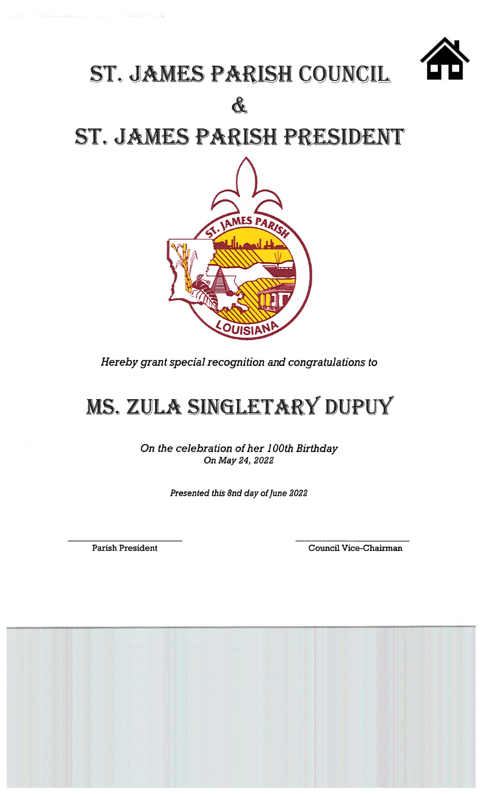

### ST. JAMES PARISH COUNCIL

&

ST. JAMES PARISH PRESIDENT



Hereby grant special recognition and congratulations to

## MS. ZULA SINGLETARY DUPUY

On the celebration of her 100th Birthday On May 24, 2022

Presented this 8nd day of June 2022

**Parish President** 

Council Vice-Chairman

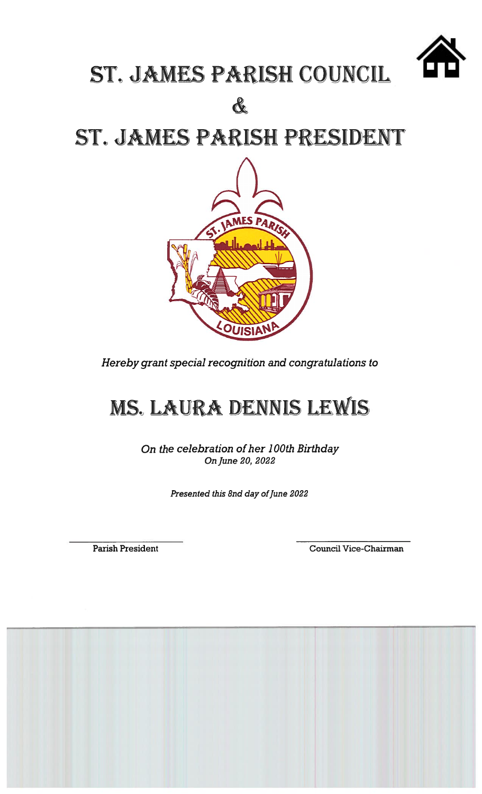

## ST. JAMES PARISH COUNCIL

&

ST. JAMES PARISH PRESIDENT



Hereby grant special recognition and congratulations to

## MS. LAURA DENNIS LEWIS

On the celebration of her 100th Birthday On June 20, 2022

Presented this 8nd day of June 2022

**Parish President** 

Council Vice-Chairman

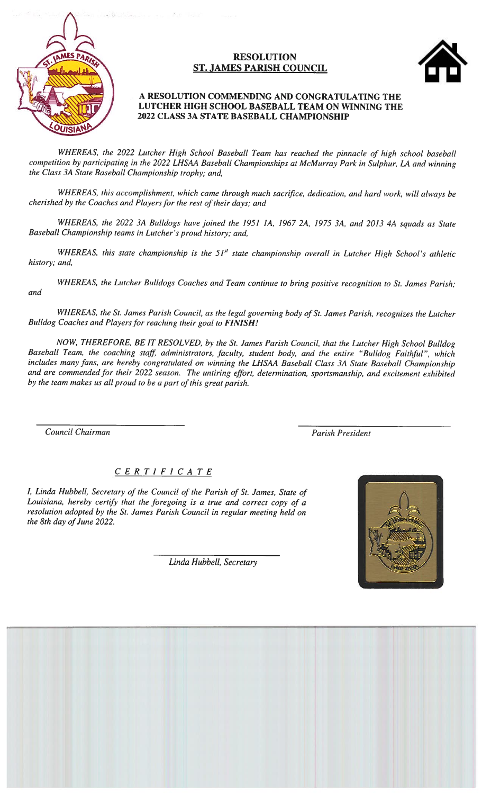

#### **RESOLUTION ST. JAMES PARISH COUNCIL**



#### A RESOLUTION COMMENDING AND CONGRATULATING THE LUTCHER HIGH SCHOOL BASEBALL TEAM ON WINNING THE 2022 CLASS 3A STATE BASEBALL CHAMPIONSHIP

WHEREAS, the 2022 Lutcher High School Baseball Team has reached the pinnacle of high school baseball competition by participating in the 2022 LHSAA Baseball Championships at McMurray Park in Sulphur, LA and winning the Class 3A State Baseball Championship trophy; and,

WHEREAS, this accomplishment, which came through much sacrifice, dedication, and hard work, will always be cherished by the Coaches and Players for the rest of their days; and

WHEREAS, the 2022 3A Bulldogs have joined the 1951 1A, 1967 2A, 1975 3A, and 2013 4A squads as State Baseball Championship teams in Lutcher's proud history; and,

WHEREAS, this state championship is the 51<sup>st</sup> state championship overall in Lutcher High School's athletic history; and,

WHEREAS, the Lutcher Bulldogs Coaches and Team continue to bring positive recognition to St. James Parish; and

WHEREAS, the St. James Parish Council, as the legal governing body of St. James Parish, recognizes the Lutcher Bulldog Coaches and Players for reaching their goal to FINISH!

NOW, THEREFORE, BE IT RESOLVED, by the St. James Parish Council, that the Lutcher High School Bulldog Baseball Team, the coaching staff, administrators, faculty, student body, and the entire "Bulldog Faithful", which includes many fans, are hereby congratulated on winning the LHSAA Baseball Class 3A State Baseball Championship and are commended for their 2022 season. The untiring effort, determination, sportsmanship, and excitement exhibited by the team makes us all proud to be a part of this great parish.

Council Chairman

**Parish President** 

#### $C E R T I F I C A T E$

I, Linda Hubbell, Secretary of the Council of the Parish of St. James, State of Louisiana, hereby certify that the foregoing is a true and correct copy of a resolution adopted by the St. James Parish Council in regular meeting held on the 8th day of June 2022.



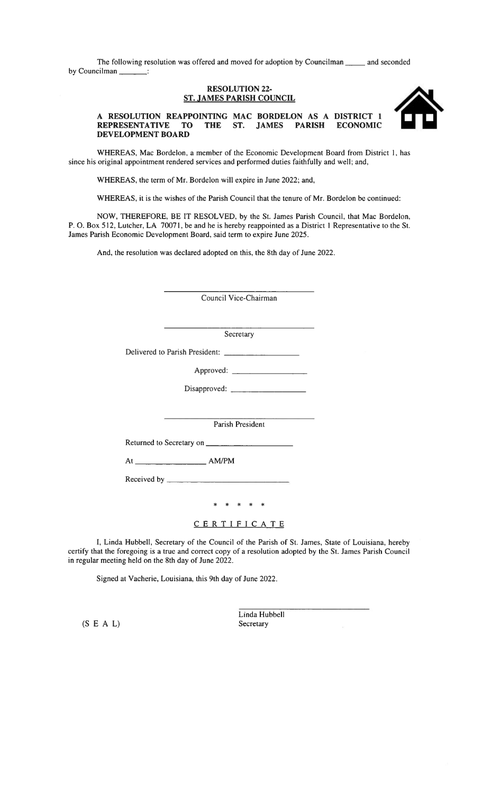The following resolution was offered and moved for adoption by Councilman and seconded by Councilman \_\_\_\_\_\_\_:

#### **RESOLUTION 22-ST. JAMES PARISH COUNCIL**



A RESOLUTION REAPPOINTING MAC BORDELON AS A DISTRICT 1 REPRESENTATIVE TO THE ST. JAMES PARISH ECONOMIC DEVELOPMENT BOARD

WHEREAS, Mac Bordelon, a member of the Economic Development Board from District 1, has since his original appointment rendered services and performed duties faithfully and well; and,

WHEREAS, the term of Mr. Bordelon will expire in June 2022; and,

WHEREAS, it is the wishes of the Parish Council that the tenure of Mr. Bordelon be continued:

NOW, THEREFORE, BE IT RESOLVED, by the St. James Parish Council, that Mac Bordelon, P. O. Box 512, Lutcher, LA 70071, be and he is hereby reappointed as a District 1 Representative to the St. James Parish Economic Development Board, said term to expire June 2025.

And, the resolution was declared adopted on this, the 8th day of June 2022.

Council Vice-Chairman

Secretary

Parish President

Returned to Secretary on

\* \* \* \*

#### CERTIFICATE

I, Linda Hubbell, Secretary of the Council of the Parish of St. James, State of Louisiana, hereby certify that the foregoing is a true and correct copy of a resolution adopted by the St. James Parish Council in regular meeting held on the 8th day of June 2022.

Signed at Vacherie, Louisiana, this 9th day of June 2022.

 $(S E A L)$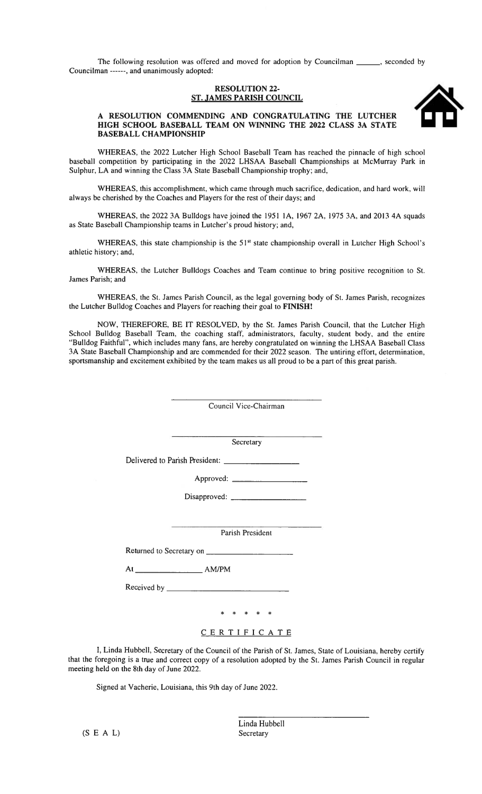The following resolution was offered and moved for adoption by Councilman \_\_\_\_\_\_, seconded by Councilman ------, and unanimously adopted:

#### **RESOLUTION 22-ST. JAMES PARISH COUNCIL**



#### A RESOLUTION COMMENDING AND CONGRATULATING THE LUTCHER HIGH SCHOOL BASEBALL TEAM ON WINNING THE 2022 CLASS 3A STATE **BASEBALL CHAMPIONSHIP**

WHEREAS, the 2022 Lutcher High School Baseball Team has reached the pinnacle of high school baseball competition by participating in the 2022 LHSAA Baseball Championships at McMurray Park in Sulphur, LA and winning the Class 3A State Baseball Championship trophy; and,

WHEREAS, this accomplishment, which came through much sacrifice, dedication, and hard work, will always be cherished by the Coaches and Players for the rest of their days; and

WHEREAS, the 2022 3A Buildogs have joined the 1951 1A, 1967 2A, 1975 3A, and 2013 4A squads as State Baseball Championship teams in Lutcher's proud history; and,

WHEREAS, this state championship is the 51<sup>st</sup> state championship overall in Lutcher High School's athletic history; and,

WHEREAS, the Lutcher Bulldogs Coaches and Team continue to bring positive recognition to St. James Parish; and

WHEREAS, the St. James Parish Council, as the legal governing body of St. James Parish, recognizes the Lutcher Bulldog Coaches and Players for reaching their goal to FINISH!

NOW, THEREFORE, BE IT RESOLVED, by the St. James Parish Council, that the Lutcher High School Bulldog Baseball Team, the coaching staff, administrators, faculty, student body, and the entire "Bulldog Faithful", which includes many fans, are hereby congratulated on winning the LHSAA Baseball Class 3A State Baseball Championship and are commended for their 2022 season. The untiring effort, determination, sportsmanship and excitement exhibited by the team makes us all proud to be a part of this great parish.

> Council Vice-Chairman Secretary Disapproved: \_ Parish President Returned to Secretary on \* \* \* \* \*

> > CERTIFICATE

I, Linda Hubbell, Secretary of the Council of the Parish of St. James, State of Louisiana, hereby certify that the foregoing is a true and correct copy of a resolution adopted by the St. James Parish Council in regular meeting held on the 8th day of June 2022.

Signed at Vacherie, Louisiana, this 9th day of June 2022.

 $(S E A L)$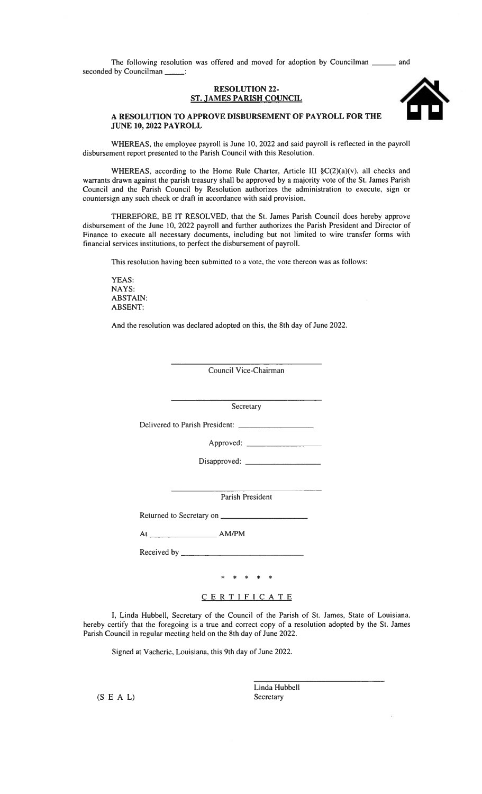The following resolution was offered and moved for adoption by Councilman and seconded by Councilman \_\_\_\_\_:

#### **RESOLUTION 22-ST. JAMES PARISH COUNCIL**



#### A RESOLUTION TO APPROVE DISBURSEMENT OF PAYROLL FOR THE **JUNE 10, 2022 PAYROLL**

WHEREAS, the employee payroll is June 10, 2022 and said payroll is reflected in the payroll disbursement report presented to the Parish Council with this Resolution.

WHEREAS, according to the Home Rule Charter, Article III §C(2)(a)(v), all checks and warrants drawn against the parish treasury shall be approved by a majority vote of the St. James Parish Council and the Parish Council by Resolution authorizes the administration to execute, sign or countersign any such check or draft in accordance with said provision.

THEREFORE, BE IT RESOLVED, that the St. James Parish Council does hereby approve disbursement of the June 10, 2022 payroll and further authorizes the Parish President and Director of Finance to execute all necessary documents, including but not limited to wire transfer forms with financial services institutions, to perfect the disbursement of payroll.

This resolution having been submitted to a vote, the vote thereon was as follows:

YEAS: NAYS: **ABSTAIN: ABSENT:** 

And the resolution was declared adopted on this, the 8th day of June 2022.

Council Vice-Chairman

Secretary

Delivered to Parish President: \_

Parish President

Returned to Secretary on \_\_

 $At$   $\qquad \qquad \qquad$  AM/PM

\* \* \* \* \*

#### CERTIFICATE

I, Linda Hubbell, Secretary of the Council of the Parish of St. James, State of Louisiana, hereby certify that the foregoing is a true and correct copy of a resolution adopted by the St. James Parish Council in regular meeting held on the 8th day of June 2022.

Signed at Vacherie, Louisiana, this 9th day of June 2022.

 $(S E A L)$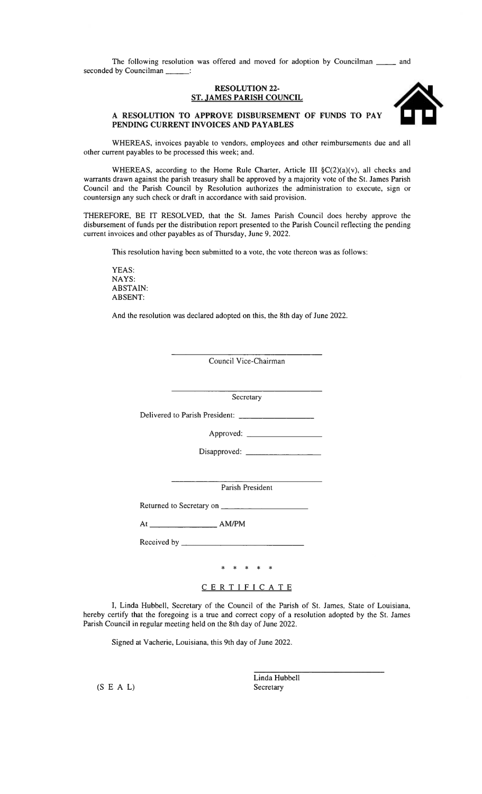The following resolution was offered and moved for adoption by Councilman \_ and seconded by Councilman \_\_\_\_\_\_:

#### **RESOLUTION 22-ST. JAMES PARISH COUNCIL**



#### A RESOLUTION TO APPROVE DISBURSEMENT OF FUNDS TO PAY PENDING CURRENT INVOICES AND PAYABLES

WHEREAS, invoices payable to vendors, employees and other reimbursements due and all other current payables to be processed this week; and.

WHEREAS, according to the Home Rule Charter, Article III  $\S C(2)(a)(v)$ , all checks and warrants drawn against the parish treasury shall be approved by a majority vote of the St. James Parish Council and the Parish Council by Resolution authorizes the administration to execute, sign or countersign any such check or draft in accordance with said provision.

THEREFORE, BE IT RESOLVED, that the St. James Parish Council does hereby approve the disbursement of funds per the distribution report presented to the Parish Council reflecting the pending current invoices and other payables as of Thursday, June 9, 2022.

This resolution having been submitted to a vote, the vote thereon was as follows:

YEAS: NAYS: **ABSTAIN: ABSENT:** 

And the resolution was declared adopted on this, the 8th day of June 2022.

Council Vice-Chairman

Secretary

Delivered to Parish President:

Approved: \_

Parish President

Returned to Secretary on \_\_

Received by \_\_\_\_\_\_

\* \* \* \* \*

CERTIFICATE

I, Linda Hubbell, Secretary of the Council of the Parish of St. James, State of Louisiana, hereby certify that the foregoing is a true and correct copy of a resolution adopted by the St. James Parish Council in regular meeting held on the 8th day of June 2022.

Signed at Vacherie, Louisiana, this 9th day of June 2022.

 $(S E A L)$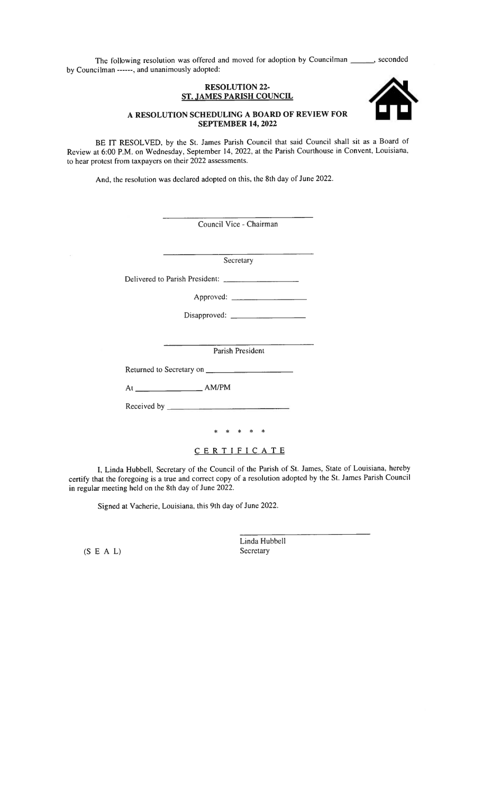The following resolution was offered and moved for adoption by Councilman \_\_\_\_\_, seconded by Councilman ------, and unanimously adopted:

#### **RESOLUTION 22-ST. JAMES PARISH COUNCIL**



BE IT RESOLVED, by the St. James Parish Council that said Council shall sit as a Board of Review at 6:00 P.M. on Wednesday, September 14, 2022, at the Parish Courthouse in Convent, Louisiana, to hear protest from taxpayers on their 2022 assessments.

And, the resolution was declared adopted on this, the 8th day of June 2022.

| Council Vice - Chairman                                                                                                                                                                                                                                                                                                                              |  |
|------------------------------------------------------------------------------------------------------------------------------------------------------------------------------------------------------------------------------------------------------------------------------------------------------------------------------------------------------|--|
| <u> 1980 - Jan Stein Berlin, amerikansk politiker (</u><br>Secretary                                                                                                                                                                                                                                                                                 |  |
| Delivered to Parish President:                                                                                                                                                                                                                                                                                                                       |  |
|                                                                                                                                                                                                                                                                                                                                                      |  |
|                                                                                                                                                                                                                                                                                                                                                      |  |
|                                                                                                                                                                                                                                                                                                                                                      |  |
| Parish President                                                                                                                                                                                                                                                                                                                                     |  |
|                                                                                                                                                                                                                                                                                                                                                      |  |
| $At$ $\qquad \qquad \qquad$ $\qquad \qquad$ $\qquad$ $\qquad$ $\qquad$ $\qquad$ $\qquad$ $\qquad$ $\qquad$ $\qquad$ $\qquad$ $\qquad$ $\qquad$ $\qquad$ $\qquad$ $\qquad$ $\qquad$ $\qquad$ $\qquad$ $\qquad$ $\qquad$ $\qquad$ $\qquad$ $\qquad$ $\qquad$ $\qquad$ $\qquad$ $\qquad$ $\qquad$ $\qquad$ $\qquad$ $\qquad$ $\qquad$ $\qquad$ $\qquad$ |  |
|                                                                                                                                                                                                                                                                                                                                                      |  |
| * * * * *                                                                                                                                                                                                                                                                                                                                            |  |
| CERTIFICATE                                                                                                                                                                                                                                                                                                                                          |  |

I, Linda Hubbell, Secretary of the Council of the Parish of St. James, State of Louisiana, hereby certify that the foregoing is a true and correct copy of a resolution adopted by the St. James Parish Council in regular meeting held on the 8th day of June 2022.

Signed at Vacherie, Louisiana, this 9th day of June 2022.

 $(S E A L)$ 

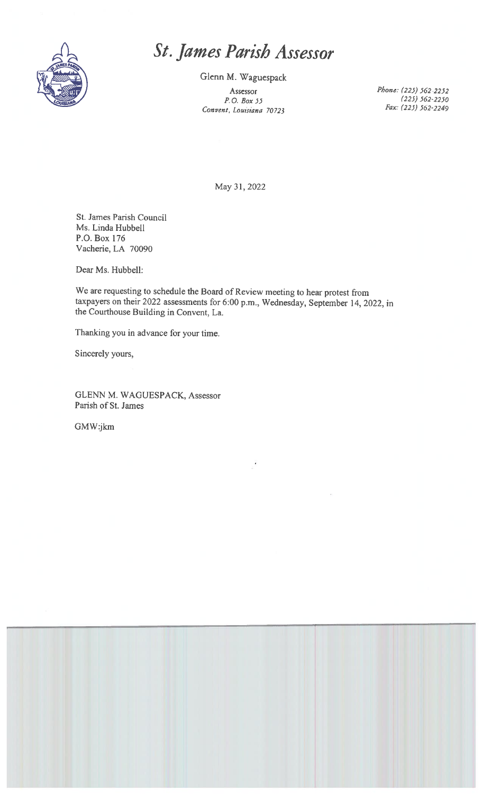

### St. James Parish Assessor

Glenn M. Waguespack

Assessor  $P. O. Box 55$ Convent, Louisiana 70723 Phone: (225) 562-2252  $(225)$  562-2250 Fax: (225) 562-2249

May 31, 2022

St. James Parish Council Ms. Linda Hubbell P.O. Box 176 Vacherie, LA 70090

Dear Ms. Hubbell:

We are requesting to schedule the Board of Review meeting to hear protest from taxpayers on their 2022 assessments for 6:00 p.m., Wednesday, September 14, 2022, in the Courthouse Building in Convent, La.

Thanking you in advance for your time.

Sincerely yours,

GLENN M. WAGUESPACK, Assessor Parish of St. James

GMW:jkm

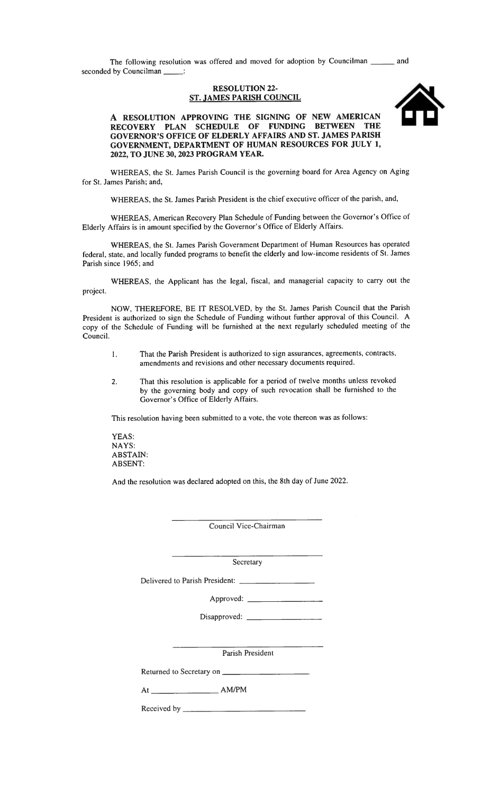The following resolution was offered and moved for adoption by Councilman \_ and seconded by Councilman \_\_\_\_:

#### **RESOLUTION 22-ST. JAMES PARISH COUNCIL**



A RESOLUTION APPROVING THE SIGNING OF NEW AMERICAN<br>RECOVERY PLAN SCHEDULE OF FUNDING BETWEEN THE GOVERNOR'S OFFICE OF ELDERLY AFFAIRS AND ST. JAMES PARISH GOVERNMENT, DEPARTMENT OF HUMAN RESOURCES FOR JULY 1, 2022, TO JUNE 30, 2023 PROGRAM YEAR.

WHEREAS, the St. James Parish Council is the governing board for Area Agency on Aging for St. James Parish; and,

WHEREAS, the St. James Parish President is the chief executive officer of the parish, and,

WHEREAS, American Recovery Plan Schedule of Funding between the Governor's Office of Elderly Affairs is in amount specified by the Governor's Office of Elderly Affairs.

WHEREAS, the St. James Parish Government Department of Human Resources has operated federal, state, and locally funded programs to benefit the elderly and low-income residents of St. James Parish since 1965; and

WHEREAS, the Applicant has the legal, fiscal, and managerial capacity to carry out the project.

NOW, THEREFORE, BE IT RESOLVED, by the St. James Parish Council that the Parish President is authorized to sign the Schedule of Funding without further approval of this Council. A copy of the Schedule of Funding will be furnished at the next regularly scheduled meeting of the Council.

- That the Parish President is authorized to sign assurances, agreements, contracts,  $\mathbf{1}$ . amendments and revisions and other necessary documents required.
- That this resolution is applicable for a period of twelve months unless revoked  $2.$ by the governing body and copy of such revocation shall be furnished to the Governor's Office of Elderly Affairs.

This resolution having been submitted to a vote, the vote thereon was as follows:

YEAS: NAYS: **ABSTAIN: ABSENT:** 

And the resolution was declared adopted on this, the 8th day of June 2022.

Council Vice-Chairman

Secretary

Delivered to Parish President:

Parish President

Returned to Secretary on \_\_

Received by \_\_\_\_\_\_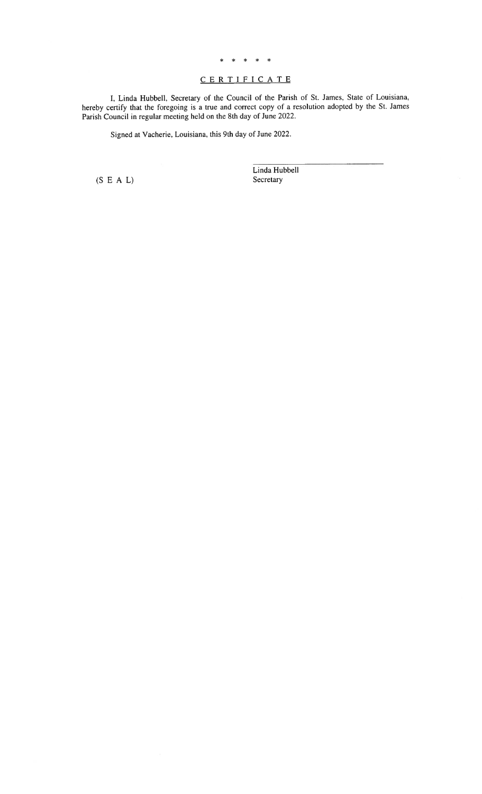#### \* \* \* \* \*

#### CERTIFICATE

I, Linda Hubbell, Secretary of the Council of the Parish of St. James, State of Louisiana, hereby certify that the foregoing is a true and correct copy of a resolution adopted by the St. James Parish Council in regular mee

Signed at Vacherie, Louisiana, this 9th day of June 2022.

 $(S E A L)$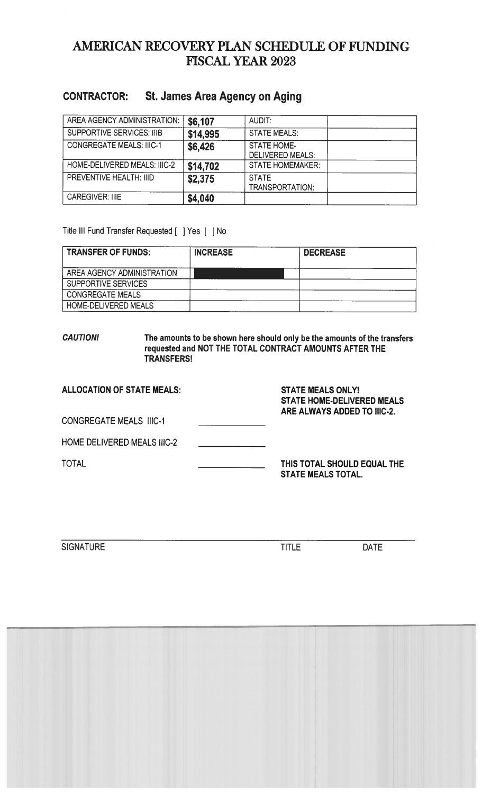### AMERICAN RECOVERY PLAN SCHEDULE OF FUNDING **FISCAL YEAR 2023**

#### St. James Area Agency on Aging **CONTRACTOR:**

| AREA AGENCY ADMINISTRATION:      | \$6,107  | AUDIT:                                        |  |
|----------------------------------|----------|-----------------------------------------------|--|
| <b>SUPPORTIVE SERVICES: IIIB</b> | \$14,995 | <b>STATE MEALS:</b>                           |  |
| <b>CONGREGATE MEALS: IIIC-1</b>  | \$6,426  | <b>STATE HOME-</b><br><b>DELIVERED MEALS:</b> |  |
| HOME-DELIVERED MEALS: IIIC-2     | \$14,702 | <b>STATE HOMEMAKER:</b>                       |  |
| PREVENTIVE HEALTH: IIID          | \$2,375  | <b>STATE</b><br>TRANSPORTATION:               |  |
| <b>CAREGIVER: IIIE</b>           | \$4,040  |                                               |  |

#### Title III Fund Transfer Requested [ ] Yes [ ] No

| <b>TRANSFER OF FUNDS:</b>  | <b>INCREASE</b> | <b>DECREASE</b> |
|----------------------------|-----------------|-----------------|
| AREA AGENCY ADMINISTRATION |                 |                 |
| <b>SUPPORTIVE SERVICES</b> |                 |                 |
| <b>CONGREGATE MEALS</b>    |                 |                 |
| HOME-DELIVERED MEALS       |                 |                 |

#### **CAUTION!** The amounts to be shown here should only be the amounts of the transfers requested and NOT THE TOTAL CONTRACT AMOUNTS AFTER THE TRANSFERS!

| <b>ALLOCATION OF STATE MEALS:</b>  | <b>STATE MEALS ONLY!</b><br><b>STATE HOME-DELIVERED MEALS</b><br>ARE ALWAYS ADDED TO IIIC-2. |
|------------------------------------|----------------------------------------------------------------------------------------------|
| <b>CONGREGATE MEALS IIIC-1</b>     |                                                                                              |
| <b>HOME DELIVERED MEALS IIIC-2</b> |                                                                                              |
| TOTAL                              | THIS TOTAL SHOULD EQUAL THE<br><b>STATE MEALS TOTAL.</b>                                     |

**SIGNATURE** 

**TITLE** 

DATE

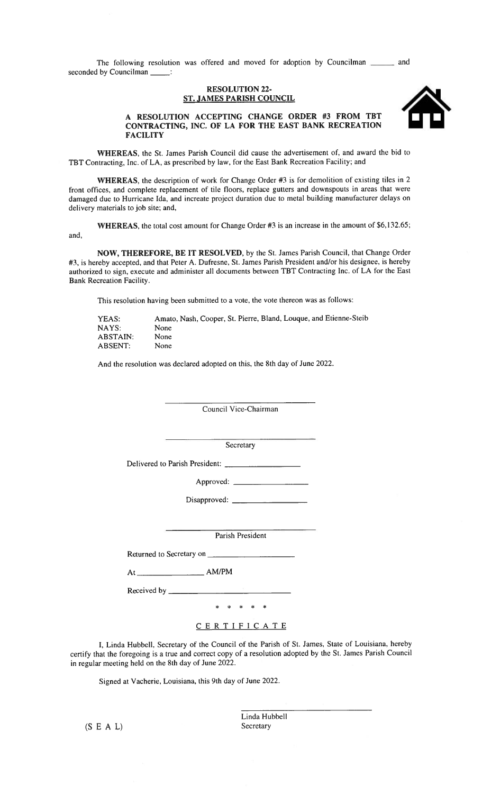The following resolution was offered and moved for adoption by Councilman \_  $_$  and seconded by Councilman \_\_  $\sim$  1

#### **RESOLUTION 22-ST. JAMES PARISH COUNCIL**



#### A RESOLUTION ACCEPTING CHANGE ORDER #3 FROM TBT CONTRACTING, INC. OF LA FOR THE EAST BANK RECREATION **FACILITY**

WHEREAS, the St. James Parish Council did cause the advertisement of, and award the bid to TBT Contracting, Inc. of LA, as prescribed by law, for the East Bank Recreation Facility; and

WHEREAS, the description of work for Change Order #3 is for demolition of existing tiles in 2 front offices, and complete replacement of tile floors, replace gutters and downspouts in areas that were damaged due to Hurricane Ida, and increate project duration due to metal building manufacturer delays on delivery materials to job site; and,

WHEREAS, the total cost amount for Change Order #3 is an increase in the amount of \$6,132.65; and,

NOW, THEREFORE, BE IT RESOLVED, by the St. James Parish Council, that Change Order #3, is hereby accepted, and that Peter A. Dufresne, St. James Parish President and/or his designee, is hereby authorized to sign, execute and administer all documents between TBT Contracting Inc. of LA for the East Bank Recreation Facility.

This resolution having been submitted to a vote, the vote thereon was as follows:

| YEAS:    | Amato, Nash, Cooper, St. Pierre, Bland, Louque, and Etienne-Steib |
|----------|-------------------------------------------------------------------|
| NAYS:    | None                                                              |
| ABSTAIN: | <b>None</b>                                                       |
| ABSENT:  | <b>None</b>                                                       |

And the resolution was declared adopted on this, the 8th day of June 2022.

Council Vice-Chairman

Secretary

Delivered to Parish President:

Parish President

Returned to Secretary on

 $AM/PM$ 

Received by \_\_\_\_\_\_\_\_

\* \* \* \* \*

CERTIFICATE

I, Linda Hubbell, Secretary of the Council of the Parish of St. James, State of Louisiana, hereby certify that the foregoing is a true and correct copy of a resolution adopted by the St. James Parish Council in regular meeting held on the 8th day of June 2022.

Signed at Vacherie, Louisiana, this 9th day of June 2022.

 $(S E A L)$